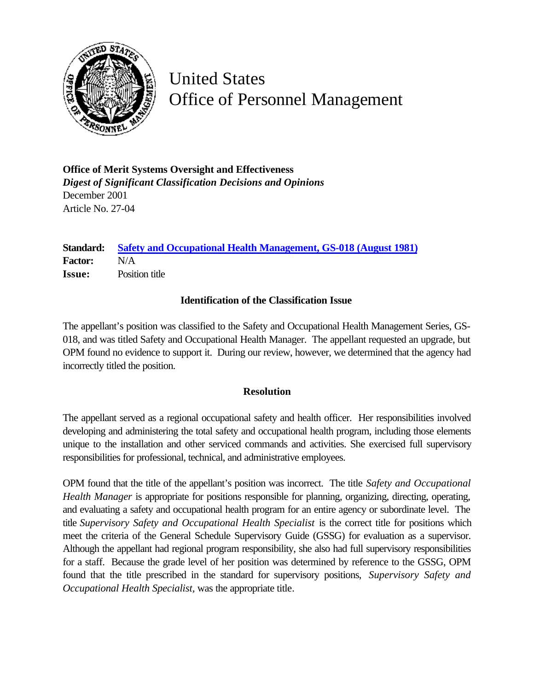

## United States Office of Personnel Management

**Office of Merit Systems Oversight and Effectiveness** *Digest of Significant Classification Decisions and Opinions* December 2001 Article No. 27-04

**Standard: [Safety and Occupational Health Management, GS-018 \(August 1981\)](http://www.opm.gov/fedclass/gs0018.pdf) Factor:** N/A **Issue:** Position title

## **Identification of the Classification Issue**

The appellant's position was classified to the Safety and Occupational Health Management Series, GS-018, and was titled Safety and Occupational Health Manager. The appellant requested an upgrade, but OPM found no evidence to support it. During our review, however, we determined that the agency had incorrectly titled the position.

## **Resolution**

The appellant served as a regional occupational safety and health officer. Her responsibilities involved developing and administering the total safety and occupational health program, including those elements unique to the installation and other serviced commands and activities. She exercised full supervisory responsibilities for professional, technical, and administrative employees.

OPM found that the title of the appellant's position was incorrect. The title *Safety and Occupational Health Manager* is appropriate for positions responsible for planning, organizing, directing, operating, and evaluating a safety and occupational health program for an entire agency or subordinate level. The title *Supervisory Safety and Occupational Health Specialist* is the correct title for positions which meet the criteria of the General Schedule Supervisory Guide (GSSG) for evaluation as a supervisor. Although the appellant had regional program responsibility, she also had full supervisory responsibilities for a staff. Because the grade level of her position was determined by reference to the GSSG, OPM found that the title prescribed in the standard for supervisory positions, *Supervisory Safety and Occupational Health Specialist,* was the appropriate title*.*